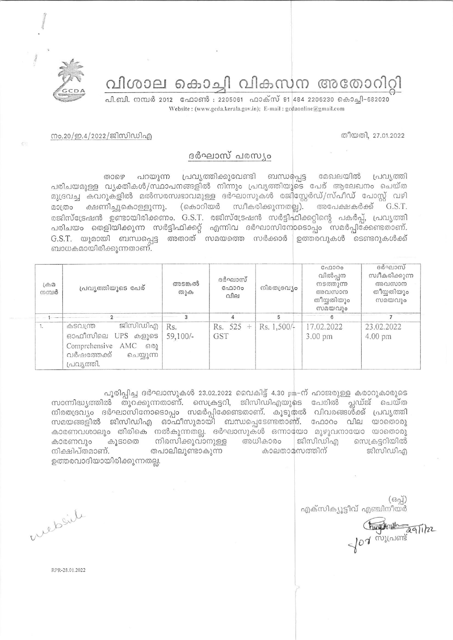വിശാല കൊച്ചി വികസന അതോറിറ്റി

പി.ബി. നമ്പർ 2012 ഫോൺ : 2205061 ഫാക്സ് 91 484 2206230 കൊച്ചി-682020 Website: (www.gcda.kerala.gov.in); E-mail: gcdaonline@gmail.com

തീയതി, 27.01.2022

## നം.20/ഇ.4/2022/ജിസിഡിഎ

## ദർഘാസ് പരസ്യം

പറയുന്ന പ്രവൃത്തിക്കുവേണ്ടി ബന്ധപ്പെട്ട മേഖലയിൽ താഴെ പ്രവൃത്തി പരിചയമുള്ള വൃക്തികൾ/സ്ഥാപനങ്ങളിൽ നിന്നും പ്രവൃത്തിയുടെ പേര് ആലേഖനം ചെയ്ത മുദ്രവച്ച കവറുകളിൽ മൽസരസ്വഭാവമുള്ള ദർഘാസുകൾ രജിസ്റ്റേർഡ്/സ്പീഡ് പോസ്റ്റ് വഴി (കൊറിയർ ക്ഷണിച്ചുകൊള്ളുന്നു. സ്വീകരിക്കുന്നതല്ല). അപേക്ഷകർക്ക് G.S.T. മാത്രം രജിസ്ട്രേഷൻ ഉണ്ടായിരിക്കണം. G.S.T. രജിസ്ട്രേഷൻ സർട്ടിഫിക്കറ്റിന്റെ പകർപ്പ്, പ്രവൃത്തി പരിചയം തെളിയിക്കുന്ന സർട്ടിഫിക്കറ്റ് എന്നിവ ദർഘാസിനോടൊപ്പം സമർപ്പിക്കേണ്ടതാണ്.  $G.S.T.$  യുമായി ബന്ധപ്പെട്ട അതാത് സമയത്തെ സർക്കാർ ഉത്തരവുകൾ ടെണ്ടറുകൾക്ക് ബാധകമായിരിക്കുന്നതാണ്.

| $L \oplus \mathcal{D}$<br>നമ്പർ | പ്രവ്യത്തിയുടെ പേര്                                                                                                                                                                                                                                                                                                                                                                                                                                                                                                            | അടങ്കൽ<br>തുക   | ദർഘാസ്<br>C <sub>0</sub> 000<br>വില | നിരതദ്രവ്യം | C <sub>0</sub> 000<br>വിൽപ്പന<br>നടത്തുന്ന<br>അവസാന<br>തീയ്യതിയും<br>സമയവും | ദർഘാസ്<br>സ്വീകരിക്കുന്ന<br>അവസാന<br>തീയ്യതിയും<br>സമയവും |
|---------------------------------|--------------------------------------------------------------------------------------------------------------------------------------------------------------------------------------------------------------------------------------------------------------------------------------------------------------------------------------------------------------------------------------------------------------------------------------------------------------------------------------------------------------------------------|-----------------|-------------------------------------|-------------|-----------------------------------------------------------------------------|-----------------------------------------------------------|
|                                 |                                                                                                                                                                                                                                                                                                                                                                                                                                                                                                                                |                 |                                     |             |                                                                             |                                                           |
| 1.                              | $\mathbb{E}[\mathbb{E}[\mathbb{E}[\mathbb{E}[\mathbb{E}[\mathbb{E}[\mathbb{E}[\mathbb{E}[\mathbb{E}[\mathbb{E}[\mathbb{E}[\mathbb{E}[\mathbb{E}[\mathbb{E}[\mathbb{E}[\mathbb{E}[\mathbb{E}[\mathbb{E}[\mathbb{E}[\mathbb{E}[\mathbb{E}[\mathbb{E}[\mathbb{E}[\mathbb{E}[\mathbb{E}[\mathbb{E}[\mathbb{E}[\mathbb{E}[\mathbb{E}[\mathbb{E}[\mathbb{E}[\mathbb{E}[\mathbb{E}[\mathbb{E}[\mathbb{E}[\mathbb{E}[\mathbb{$<br>കടവന്ത്ര<br>ഓഫീസിലെ UPS കളുടെ<br>Comprehensive AMC<br>6301<br>വർഷത്തേക്ക്<br>ചെയ്യുന്ന<br>പ്രവൃത്തി. | Rs.<br>59,100/- | Rs. 525<br>$+$<br><b>GST</b>        | Rs. 1,500/+ | 17.02.2022<br>3.00 pm                                                       | 23.02.2022<br>$4.00 \text{ pm}$                           |

പൂരിപ്പിച്ച ദർഘാസുകൾ 23.02.2022 വൈകിട്ട് 4.30 pm-ന് ഹാജരുള്ള കരാറുകാരുടെ സാന്നിദ്ധ്യത്തിൽ തുറക്കുന്നതാണ്. സെക്രട്ടറി, ജിസിഡിഎയുടെ പേരിൽ പ്ലഡ്ജ് ചെയ്ത നിരതദ്രവ്യം ദർഘാസിനോടൊപ്പം സമർപ്പിക്കേണ്ടതാണ്. കൂടുതൽ വിവരങ്ങൾക്ക് പ്രവൃത്തി സമയങ്ങളിൽ ജിസിഡിഎ ഓഫീസുമായി ബന്ധപ്പെടേണ്ടതാണ്. ഫോറം വില യാതൊരു കാരണവശാലും തിരികെ നൽകുന്നതല്ല. ദർഘാസുകൾ ഒന്നായോ മുഴുവനായോ യാതൊരു നിരസിക്കുവാനുള്ള അധികാരം ജിസിഡിഎ സെക്രട്ടറിയിൽ കാരണവും കൂടാതെ നിക്ഷിപ്തമാണ്. തപാലിലുണ്ടാകുന്ന കാലതാമസത്തിന് ജിസിഡിഎ ഉത്തരവാദിയായിരിക്കുന്നതല്ല.

 $(632)$ എക്സിക്യൂട്ടീവ് എഞ്ചിനീയർ

hungtonsh aquitze

website

RPR-28.01.2022